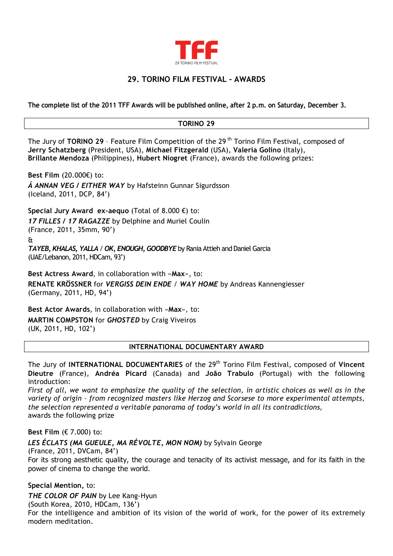

## **29. TORINO FILM FESTIVAL - AWARDS**

**The complete list of the 2011 TFF Awards will be published online, after 2 p.m. on Saturday, December 3.** 

## **TORINO 29**

The Jury of **TORINO 29** – Feature Film Competition of the 29 th Torino Film Festival, composed of **Jerry Schatzberg** (President, USA), **Michael Fitzgerald** (USA), **Valeria Golino** (Italy), **Brillante Mendoza** (Philippines), **Hubert Niogret** (France), awards the following prizes:

**Best Film** (20.000€) to: *Á ANNAN VEG / EITHER WAY* by Hafsteinn Gunnar Sigurdsson (Iceland, 2011, DCP, 84')

**Special Jury Award ex-aequo** (Total of 8.000 €) to: *17 FILLES / 17 RAGAZZE* by Delphine and Muriel Coulin (France, 2011, 35mm, 90')

&

*TAYEB, KHALAS, YALLA* / *OK, ENOUGH, GOODBYE* by Rania Attieh and Daniel Garcia (UAE/Lebanon, 2011, HDCam, 93')

**Best Actress Award**, in collaboration with «**Max**», to: **RENATE KRÖSSNER** for *VERGISS DEIN ENDE* / *WAY HOME* by Andreas Kannengiesser (Germany, 2011, HD, 94')

**Best Actor Awards**, in collaboration with «**Max**», to: **MARTIN COMPSTON** for *GHOSTED* by Craig Viveiros (UK, 2011, HD, 102')

## **INTERNATIONAL DOCUMENTARY AWARD**

The Jury of **INTERNATIONAL DOCUMENTARIES** of the 29th Torino Film Festival, composed of **Vincent Dieutre** (France), **Andréa Picard** (Canada) and **João Trabulo** (Portugal) with the following introduction:

*First of all, we want to emphasize the quality of the selection, in artistic choices as well as in the variety of origin – from recognized masters like Herzog and Scorsese to more experimental attempts, the selection represented a veritable panorama of today's world in all its contradictions*, awards the following prize

## **Best Film** (€ 7.000) to:

*LES ÉCLATS (MA GUEULE, MA RÉVOLTE, MON NOM)* by Sylvain George

(France, 2011, DVCam, 84')

For its strong aesthetic quality, the courage and tenacity of its activist message, and for its faith in the power of cinema to change the world.

**Special Mention,** to:

*THE COLOR OF PAIN* by Lee Kang-Hyun

(South Korea, 2010, HDCam, 136')

For the intelligence and ambition of its vision of the world of work, for the power of its extremely modern meditation.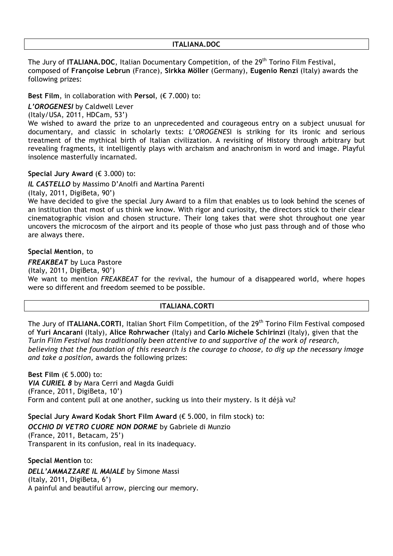#### **ITALIANA.DOC**

The Jury of **ITALIANA.DOC**, Italian Documentary Competition, of the 29<sup>th</sup> Torino Film Festival, composed of **Françoise Lebrun** (France), **Sirkka Möller** (Germany), **Eugenio Renzi** (Italy) awards the following prizes:

## **Best Film**, in collaboration with **Persol**, (€ 7.000) to:

*L'OROGENESI* by Caldwell Lever

(Italy/USA, 2011, HDCam, 53')

We wished to award the prize to an unprecedented and courageous entry on a subject unusual for documentary, and classic in scholarly texts: *L'OROGENES*I is striking for its ironic and serious treatment of the mythical birth of Italian civilization. A revisiting of History through arbitrary but revealing fragments, it intelligently plays with archaism and anachronism in word and image. Playful insolence masterfully incarnated.

## **Special Jury Award** (€ 3.000) to:

*IL CASTELLO* by Massimo D'Anolfi and Martina Parenti

(Italy, 2011, DigiBeta, 90')

We have decided to give the special Jury Award to a film that enables us to look behind the scenes of an institution that most of us think we know. With rigor and curiosity, the directors stick to their clear cinematographic vision and chosen structure. Their long takes that were shot throughout one year uncovers the microcosm of the airport and its people of those who just pass through and of those who are always there.

## **Special Mention**, to

*FREAKBEAT* by Luca Pastore

(Italy, 2011, DigiBeta, 90')

We want to mention *FREAKBEAT* for the revival, the humour of a disappeared world, where hopes were so different and freedom seemed to be possible.

## **ITALIANA.CORTI**

The Jury of **ITALIANA.CORTI**, Italian Short Film Competition, of the 29th Torino Film Festival composed of **Yuri Ancarani** (Italy), **Alice Rohrwacher** (Italy) and **Carlo Michele Schirinzi** (Italy), given that the *Turin Film Festival has traditionally been attentive to and supportive of the work of research, believing that the foundation of this research is the courage to choose, to dig up the necessary image and take a position*, awards the following prizes:

**Best Film** (€ 5.000) to: *VIA CURIEL 8* by Mara Cerri and Magda Guidi (France, 2011, DigiBeta, 10') Form and content pull at one another, sucking us into their mystery. Is it déjà vu?

**Special Jury Award Kodak Short Film Award** (€ 5.000, in film stock) to: *OCCHIO DI VETRO CUORE NON DORME* by Gabriele di Munzio (France, 2011, Betacam, 25') Transparent in its confusion, real in its inadequacy.

**Special Mention** to: *DELL'AMMAZZARE IL MAIALE* by Simone Massi (Italy, 2011, DigiBeta, 6') A painful and beautiful arrow, piercing our memory.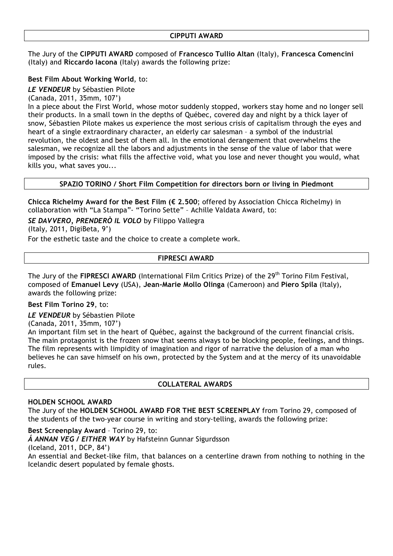#### **CIPPUTI AWARD**

The Jury of the **CIPPUTI AWARD** composed of **Francesco Tullio Altan** (Italy), **Francesca Comencini** (Italy) and **Riccardo Iacona** (Italy) awards the following prize:

## **Best Film About Working World**, to:

*LE VENDEUR* by Sébastien Pilote

(Canada, 2011, 35mm, 107')

In a piece about the First World, whose motor suddenly stopped, workers stay home and no longer sell their products. In a small town in the depths of Québec, covered day and night by a thick layer of snow, Sébastien Pilote makes us experience the most serious crisis of capitalism through the eyes and heart of a single extraordinary character, an elderly car salesman – a symbol of the industrial revolution, the oldest and best of them all. In the emotional derangement that overwhelms the salesman, we recognize all the labors and adjustments in the sense of the value of labor that were imposed by the crisis: what fills the affective void, what you lose and never thought you would, what kills you, what saves you...

## **SPAZIO TORINO / Short Film Competition for directors born or living in Piedmont**

**Chicca Richelmy Award for the Best Film (€ 2.500**; offered by Association Chicca Richelmy) in collaboration with "La Stampa"- "Torino Sette" – Achille Valdata Award, to:

*SE DAVVERO, PRENDERÒ IL VOLO* by Filippo Vallegra

(Italy, 2011, DigiBeta, 9')

For the esthetic taste and the choice to create a complete work.

## **FIPRESCI AWARD**

The Jury of the FIPRESCI AWARD (International Film Critics Prize) of the 29<sup>th</sup> Torino Film Festival. composed of **Emanuel Levy** (USA), **Jean-Marie Mollo Olinga** (Cameroon) and **Piero Spila** (Italy), awards the following prize:

#### **Best Film Torino 29**, to:

*LE VENDEUR* by Sébastien Pilote

(Canada, 2011, 35mm, 107')

An important film set in the heart of Québec, against the background of the current financial crisis. The main protagonist is the frozen snow that seems always to be blocking people, feelings, and things. The film represents with limpidity of imagination and rigor of narrative the delusion of a man who believes he can save himself on his own, protected by the System and at the mercy of its unavoidable rules.

#### **COLLATERAL AWARDS**

#### **HOLDEN SCHOOL AWARD**

The Jury of the **HOLDEN SCHOOL AWARD FOR THE BEST SCREENPLAY** from Torino 29, composed of the students of the two-year course in writing and story-telling, awards the following prize:

**Best Screenplay Award** – Torino 29, to:

*Á ANNAN VEG / EITHER WAY* by Hafsteinn Gunnar Sigurdsson

(Iceland, 2011, DCP, 84')

An essential and Becket-like film, that balances on a centerline drawn from nothing to nothing in the Icelandic desert populated by female ghosts.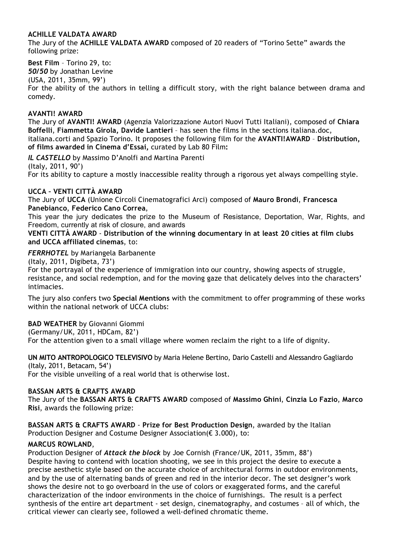## **ACHILLE VALDATA AWARD**

The Jury of the **ACHILLE VALDATA AWARD** composed of 20 readers of "Torino Sette" awards the following prize:

**Best Film** – Torino 29, to: *50/50* by Jonathan Levine (USA, 2011, 35mm, 99') For the ability of the authors in telling a difficult story, with the right balance between drama and comedy.

## **AVANTI! AWARD**

The Jury of **AVANTI! AWARD** (Agenzia Valorizzazione Autori Nuovi Tutti Italiani), composed of **Chiara Boffelli**, **Fiammetta Girola, Davide Lantieri** – has seen the films in the sections italiana.doc, italiana.corti and Spazio Torino. It proposes the following film for the **AVANTI!AWARD** – **Distribution, of films awarded in Cinema d'Essai,** curated by Lab 80 Film**:**

*IL CASTELLO* by Massimo D'Anolfi and Martina Parenti (Italy, 2011, 90') For its ability to capture a mostly inaccessible reality through a rigorous yet always compelling style.

## **UCCA – VENTI CITTÀ AWARD**

The Jury of **UCCA** (Unione Circoli Cinematografici Arci) composed of **Mauro Brondi**, **Francesca Panebianco**, **Federico Cano Correa**,

This year the jury dedicates the prize to the Museum of Resistance, Deportation, War, Rights, and Freedom, currently at risk of closure, and awards

**VENTI CITTÀ AWARD** - **Distribution of the winning documentary in at least 20 cities at film clubs and UCCA affiliated cinemas**, to:

#### *FERRHOTEL* by Mariangela Barbanente

(Italy, 2011, Digibeta, 73')

For the portrayal of the experience of immigration into our country, showing aspects of struggle, resistance, and social redemption, and for the moving gaze that delicately delves into the characters' intimacies.

The jury also confers two **Special Mentions** with the commitment to offer programming of these works within the national network of UCCA clubs:

## **BAD WEATHER** by Giovanni Giommi

(Germany/UK, 2011, HDCam, 82')

For the attention given to a small village where women reclaim the right to a life of dignity.

**UN MITO ANTROPOLOGICO TELEVISIVO** by Maria Helene Bertino, Dario Castelli and Alessandro Gagliardo (Italy, 2011, Betacam, 54')

For the visible unveiling of a real world that is otherwise lost.

## **BASSAN ARTS & CRAFTS AWARD**

The Jury of the **BASSAN ARTS & CRAFTS AWARD** composed of **Massimo Ghini**, **Cinzia Lo Fazio**, **Marco Risi**, awards the following prize:

**BASSAN ARTS & CRAFTS AWARD** - **Prize for Best Production Design**, awarded by the Italian Production Designer and Costume Designer Association(€ 3.000), to:

## **MARCUS ROWLAND**,

Production Designer of *Attack the block* by Joe Cornish (France/UK, 2011, 35mm, 88') Despite having to contend with location shooting, we see in this project the desire to execute a precise aesthetic style based on the accurate choice of architectural forms in outdoor environments, and by the use of alternating bands of green and red in the interior decor. The set designer's work shows the desire not to go overboard in the use of colors or exaggerated forms, and the careful characterization of the indoor environments in the choice of furnishings. The result is a perfect synthesis of the entire art department - set design, cinematography, and costumes – all of which, the critical viewer can clearly see, followed a well-defined chromatic theme.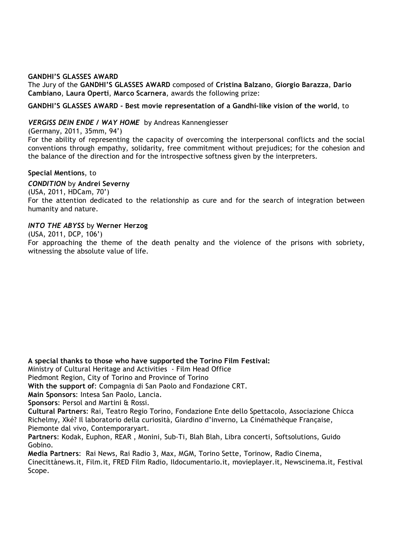#### **GANDHI'S GLASSES AWARD**

The Jury of the **GANDHI'S GLASSES AWARD** composed of **Cristina Balzano**, **Giorgio Barazza**, **Dario Cambiano**, **Laura Operti**, **Marco Scarnera**, awards the following prize:

**GANDHI'S GLASSES AWARD - Best movie representation of a Gandhi-like vision of the world**, to

#### *VERGISS DEIN ENDE / WAY HOME* by Andreas Kannengiesser

(Germany, 2011, 35mm, 94')

For the ability of representing the capacity of overcoming the interpersonal conflicts and the social conventions through empathy, solidarity, free commitment without prejudices; for the cohesion and the balance of the direction and for the introspective softness given by the interpreters.

#### **Special Mentions**, to

*CONDITION* by **Andrei Severny** (USA, 2011, HDCam, 70') For the attention dedicated to the relationship as cure and for the search of integration between humanity and nature.

#### *INTO THE ABYSS* by **Werner Herzog**

(USA, 2011, DCP, 106')

For approaching the theme of the death penalty and the violence of the prisons with sobriety, witnessing the absolute value of life.

**A special thanks to those who have supported the Torino Film Festival:**

Ministry of Cultural Heritage and Activities - Film Head Office

Piedmont Region, City of Torino and Province of Torino

**With the support of**: Compagnia di San Paolo and Fondazione CRT.

**Main Sponsors**: Intesa San Paolo, Lancia.

**Sponsors**: Persol and Martini & Rossi.

**Cultural Partners**: Rai, Teatro Regio Torino, Fondazione Ente dello Spettacolo, Associazione Chicca Richelmy, Xké? Il laboratorio della curiosità, Giardino d'inverno, La Cinémathèque Française, Piemonte dal vivo, Contemporaryart.

**Partners**: Kodak, Euphon, REAR , Monini, Sub-Ti, Blah Blah, Libra concerti, Softsolutions, Guido Gobino.

**Media Partners**: Rai News, Rai Radio 3, Max, MGM, Torino Sette, Torinow, Radio Cinema, Cinecittànews.it, Film.it, FRED Film Radio, Ildocumentario.it, movieplayer.it, Newscinema.it, Festival Scope.